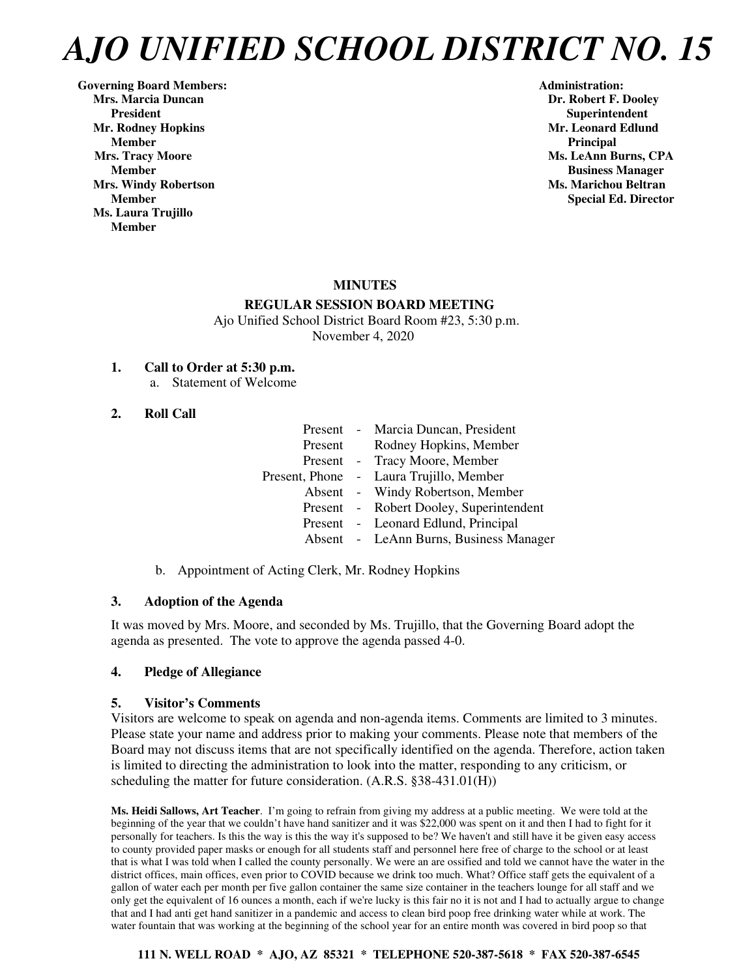Governing Board Members: **Administration: Administration: Administration: Mrs. Marcia Duncan Dr. Robert F. Dooley President Superintendent in the Superintendent in the Superintendent in the Superintendent in the Superintendent in the Superintendent in the Superintendent in the Superintendent in the Superintendent in the Superintenden Mr. Rodney Hopkins Community Community Community Community Community Community Community Community Community Community Community Community Community Community Community Community Community Community Community Community Co Member** Principal **Principal** *Principal* **Mrs. Tracy Moore** Ms. LeAnn Burns, CPA **Mrs. Windy Robertson Ms. Marichou Beltran**  Ms. Marichou Beltran **Ms. Marichou Beltran Ms. Laura Trujillo Member** 

**Member Business Manager Member Special Ed. Director** 

# **MINUTES**

## **REGULAR SESSION BOARD MEETING**

 Ajo Unified School District Board Room #23, 5:30 p.m. November 4, 2020

#### **1. Call to Order at 5:30 p.m.**

a. Statement of Welcome

## **2. Roll Call**

|         | Present - Marcia Duncan, President      |
|---------|-----------------------------------------|
| Present | Rodney Hopkins, Member                  |
|         | Present - Tracy Moore, Member           |
|         | Present, Phone - Laura Trujillo, Member |
|         | Absent - Windy Robertson, Member        |
|         | Present - Robert Dooley, Superintendent |
|         | Present - Leonard Edlund, Principal     |
|         | Absent - LeAnn Burns, Business Manager  |
|         |                                         |

b. Appointment of Acting Clerk, Mr. Rodney Hopkins

## **3. Adoption of the Agenda**

It was moved by Mrs. Moore, and seconded by Ms. Trujillo, that the Governing Board adopt the agenda as presented. The vote to approve the agenda passed 4-0.

## **4. Pledge of Allegiance**

## **5. Visitor's Comments**

Visitors are welcome to speak on agenda and non-agenda items. Comments are limited to 3 minutes. Please state your name and address prior to making your comments. Please note that members of the Board may not discuss items that are not specifically identified on the agenda. Therefore, action taken is limited to directing the administration to look into the matter, responding to any criticism, or scheduling the matter for future consideration. (A.R.S. §38-431.01(H))

**Ms. Heidi Sallows, Art Teacher**. I'm going to refrain from giving my address at a public meeting. We were told at the beginning of the year that we couldn't have hand sanitizer and it was \$22,000 was spent on it and then I had to fight for it personally for teachers. Is this the way is this the way it's supposed to be? We haven't and still have it be given easy access to county provided paper masks or enough for all students staff and personnel here free of charge to the school or at least that is what I was told when I called the county personally. We were an are ossified and told we cannot have the water in the district offices, main offices, even prior to COVID because we drink too much. What? Office staff gets the equivalent of a gallon of water each per month per five gallon container the same size container in the teachers lounge for all staff and we only get the equivalent of 16 ounces a month, each if we're lucky is this fair no it is not and I had to actually argue to change that and I had anti get hand sanitizer in a pandemic and access to clean bird poop free drinking water while at work. The water fountain that was working at the beginning of the school year for an entire month was covered in bird poop so that

## **111 N. WELL ROAD \* AJO, AZ 85321 \* TELEPHONE 520-387-5618 \* FAX 520-387-6545**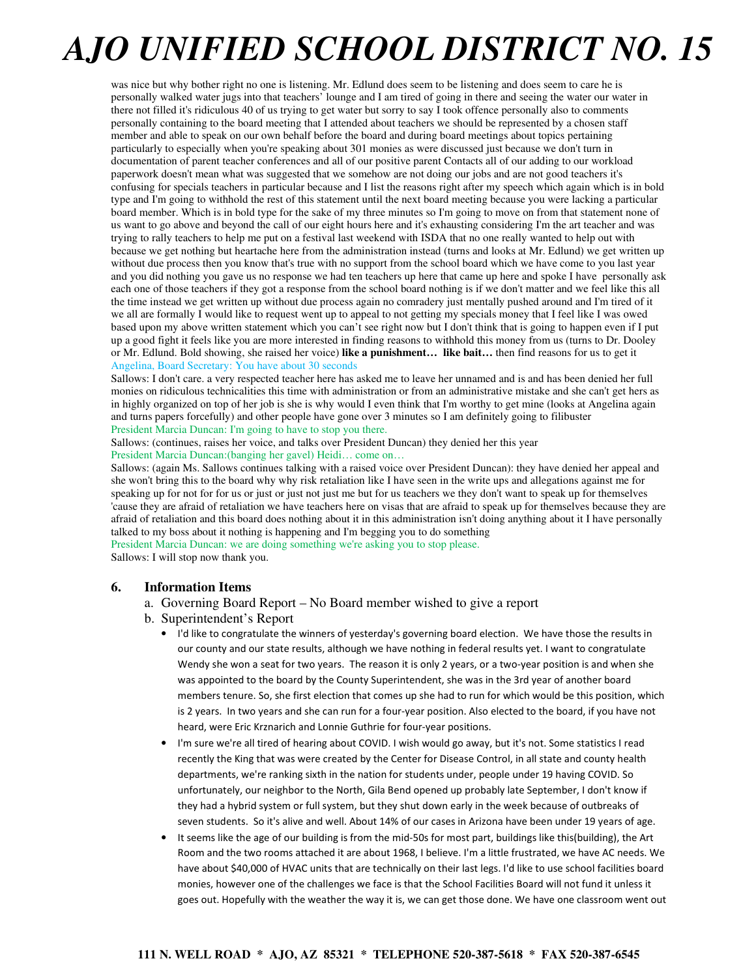was nice but why bother right no one is listening. Mr. Edlund does seem to be listening and does seem to care he is personally walked water jugs into that teachers' lounge and I am tired of going in there and seeing the water our water in there not filled it's ridiculous 40 of us trying to get water but sorry to say I took offence personally also to comments personally containing to the board meeting that I attended about teachers we should be represented by a chosen staff member and able to speak on our own behalf before the board and during board meetings about topics pertaining particularly to especially when you're speaking about 301 monies as were discussed just because we don't turn in documentation of parent teacher conferences and all of our positive parent Contacts all of our adding to our workload paperwork doesn't mean what was suggested that we somehow are not doing our jobs and are not good teachers it's confusing for specials teachers in particular because and I list the reasons right after my speech which again which is in bold type and I'm going to withhold the rest of this statement until the next board meeting because you were lacking a particular board member. Which is in bold type for the sake of my three minutes so I'm going to move on from that statement none of us want to go above and beyond the call of our eight hours here and it's exhausting considering I'm the art teacher and was trying to rally teachers to help me put on a festival last weekend with ISDA that no one really wanted to help out with because we get nothing but heartache here from the administration instead (turns and looks at Mr. Edlund) we get written up without due process then you know that's true with no support from the school board which we have come to you last year and you did nothing you gave us no response we had ten teachers up here that came up here and spoke I have personally ask each one of those teachers if they got a response from the school board nothing is if we don't matter and we feel like this all the time instead we get written up without due process again no comradery just mentally pushed around and I'm tired of it we all are formally I would like to request went up to appeal to not getting my specials money that I feel like I was owed based upon my above written statement which you can't see right now but I don't think that is going to happen even if I put up a good fight it feels like you are more interested in finding reasons to withhold this money from us (turns to Dr. Dooley or Mr. Edlund. Bold showing, she raised her voice) **like a punishment… like bait…** then find reasons for us to get it Angelina, Board Secretary: You have about 30 seconds

Sallows: I don't care. a very respected teacher here has asked me to leave her unnamed and is and has been denied her full monies on ridiculous technicalities this time with administration or from an administrative mistake and she can't get hers as in highly organized on top of her job is she is why would I even think that I'm worthy to get mine (looks at Angelina again and turns papers forcefully) and other people have gone over 3 minutes so I am definitely going to filibuster President Marcia Duncan: I'm going to have to stop you there.

Sallows: (continues, raises her voice, and talks over President Duncan) they denied her this year President Marcia Duncan:(banging her gavel) Heidi… come on…

Sallows: (again Ms. Sallows continues talking with a raised voice over President Duncan): they have denied her appeal and she won't bring this to the board why why risk retaliation like I have seen in the write ups and allegations against me for speaking up for not for for us or just or just not just me but for us teachers we they don't want to speak up for themselves 'cause they are afraid of retaliation we have teachers here on visas that are afraid to speak up for themselves because they are afraid of retaliation and this board does nothing about it in this administration isn't doing anything about it I have personally talked to my boss about it nothing is happening and I'm begging you to do something President Marcia Duncan: we are doing something we're asking you to stop please.

Sallows: I will stop now thank you.

## **6. Information Items**

- a. Governing Board Report No Board member wished to give a report
- b. Superintendent's Report
	- I'd like to congratulate the winners of yesterday's governing board election. We have those the results in our county and our state results, although we have nothing in federal results yet. I want to congratulate Wendy she won a seat for two years. The reason it is only 2 years, or a two-year position is and when she was appointed to the board by the County Superintendent, she was in the 3rd year of another board members tenure. So, she first election that comes up she had to run for which would be this position, which is 2 years. In two years and she can run for a four-year position. Also elected to the board, if you have not heard, were Eric Krznarich and Lonnie Guthrie for four-year positions.
	- I'm sure we're all tired of hearing about COVID. I wish would go away, but it's not. Some statistics I read recently the King that was were created by the Center for Disease Control, in all state and county health departments, we're ranking sixth in the nation for students under, people under 19 having COVID. So unfortunately, our neighbor to the North, Gila Bend opened up probably late September, I don't know if they had a hybrid system or full system, but they shut down early in the week because of outbreaks of seven students. So it's alive and well. About 14% of our cases in Arizona have been under 19 years of age.
	- It seems like the age of our building is from the mid-50s for most part, buildings like this(building), the Art Room and the two rooms attached it are about 1968, I believe. I'm a little frustrated, we have AC needs. We have about \$40,000 of HVAC units that are technically on their last legs. I'd like to use school facilities board monies, however one of the challenges we face is that the School Facilities Board will not fund it unless it goes out. Hopefully with the weather the way it is, we can get those done. We have one classroom went out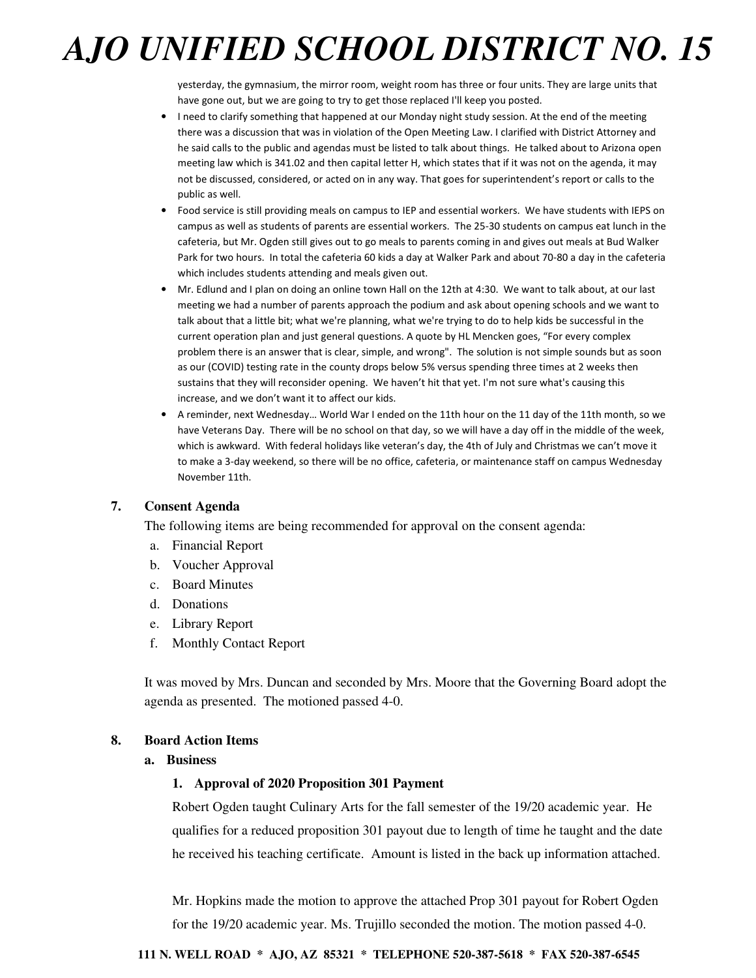yesterday, the gymnasium, the mirror room, weight room has three or four units. They are large units that have gone out, but we are going to try to get those replaced I'll keep you posted.

- I need to clarify something that happened at our Monday night study session. At the end of the meeting there was a discussion that was in violation of the Open Meeting Law. I clarified with District Attorney and he said calls to the public and agendas must be listed to talk about things. He talked about to Arizona open meeting law which is 341.02 and then capital letter H, which states that if it was not on the agenda, it may not be discussed, considered, or acted on in any way. That goes for superintendent's report or calls to the public as well.
- Food service is still providing meals on campus to IEP and essential workers. We have students with IEPS on campus as well as students of parents are essential workers. The 25-30 students on campus eat lunch in the cafeteria, but Mr. Ogden still gives out to go meals to parents coming in and gives out meals at Bud Walker Park for two hours. In total the cafeteria 60 kids a day at Walker Park and about 70-80 a day in the cafeteria which includes students attending and meals given out.
- Mr. Edlund and I plan on doing an online town Hall on the 12th at 4:30. We want to talk about, at our last meeting we had a number of parents approach the podium and ask about opening schools and we want to talk about that a little bit; what we're planning, what we're trying to do to help kids be successful in the current operation plan and just general questions. A quote by HL Mencken goes, "For every complex problem there is an answer that is clear, simple, and wrong". The solution is not simple sounds but as soon as our (COVID) testing rate in the county drops below 5% versus spending three times at 2 weeks then sustains that they will reconsider opening. We haven't hit that yet. I'm not sure what's causing this increase, and we don't want it to affect our kids.
- A reminder, next Wednesday… World War I ended on the 11th hour on the 11 day of the 11th month, so we have Veterans Day. There will be no school on that day, so we will have a day off in the middle of the week, which is awkward. With federal holidays like veteran's day, the 4th of July and Christmas we can't move it to make a 3-day weekend, so there will be no office, cafeteria, or maintenance staff on campus Wednesday November 11th.

## **7. Consent Agenda**

The following items are being recommended for approval on the consent agenda:

- a. Financial Report
- b. Voucher Approval
- c. Board Minutes
- d. Donations
- e. Library Report
- f. Monthly Contact Report

It was moved by Mrs. Duncan and seconded by Mrs. Moore that the Governing Board adopt the agenda as presented. The motioned passed 4-0.

#### **8. Board Action Items**

#### **a. Business**

#### **1. Approval of 2020 Proposition 301 Payment**

Robert Ogden taught Culinary Arts for the fall semester of the 19/20 academic year. He qualifies for a reduced proposition 301 payout due to length of time he taught and the date he received his teaching certificate. Amount is listed in the back up information attached.

Mr. Hopkins made the motion to approve the attached Prop 301 payout for Robert Ogden for the 19/20 academic year. Ms. Trujillo seconded the motion. The motion passed 4-0.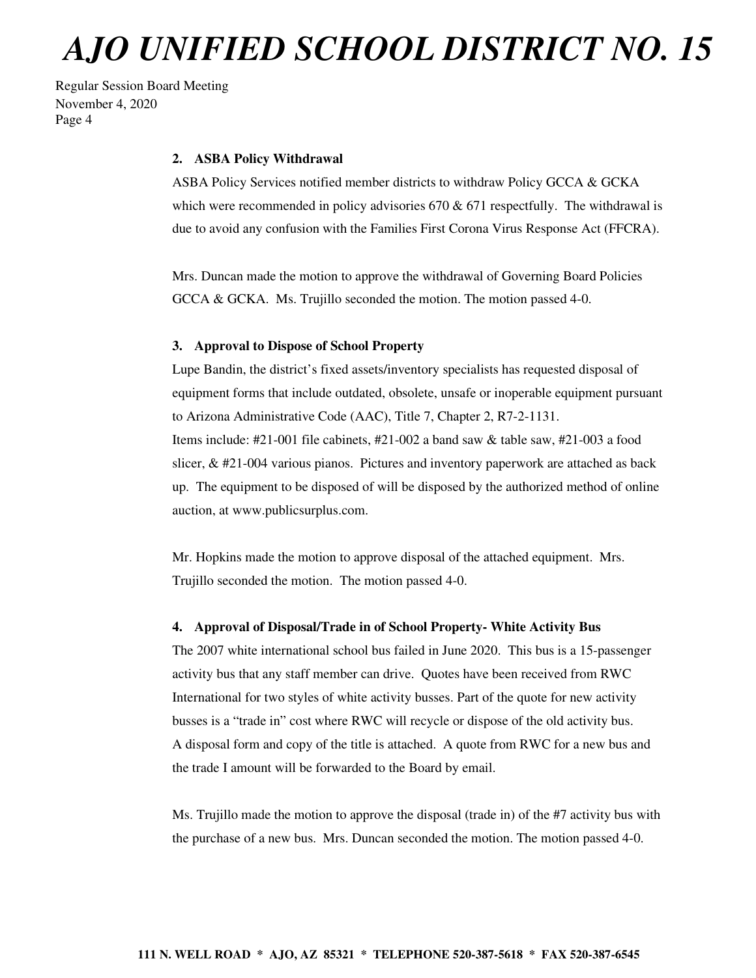Regular Session Board Meeting November 4, 2020 Page 4

#### **2. ASBA Policy Withdrawal**

ASBA Policy Services notified member districts to withdraw Policy GCCA & GCKA which were recommended in policy advisories  $670 \& 671$  respectfully. The withdrawal is due to avoid any confusion with the Families First Corona Virus Response Act (FFCRA).

Mrs. Duncan made the motion to approve the withdrawal of Governing Board Policies GCCA & GCKA. Ms. Trujillo seconded the motion. The motion passed 4-0.

#### **3. Approval to Dispose of School Property**

Lupe Bandin, the district's fixed assets/inventory specialists has requested disposal of equipment forms that include outdated, obsolete, unsafe or inoperable equipment pursuant to Arizona Administrative Code (AAC), Title 7, Chapter 2, R7-2-1131. Items include: #21-001 file cabinets, #21-002 a band saw & table saw, #21-003 a food slicer, & #21-004 various pianos. Pictures and inventory paperwork are attached as back up. The equipment to be disposed of will be disposed by the authorized method of online auction, at www.publicsurplus.com.

Mr. Hopkins made the motion to approve disposal of the attached equipment. Mrs. Trujillo seconded the motion. The motion passed 4-0.

#### **4. Approval of Disposal/Trade in of School Property- White Activity Bus**

The 2007 white international school bus failed in June 2020. This bus is a 15-passenger activity bus that any staff member can drive. Quotes have been received from RWC International for two styles of white activity busses. Part of the quote for new activity busses is a "trade in" cost where RWC will recycle or dispose of the old activity bus. A disposal form and copy of the title is attached. A quote from RWC for a new bus and the trade I amount will be forwarded to the Board by email.

Ms. Trujillo made the motion to approve the disposal (trade in) of the #7 activity bus with the purchase of a new bus. Mrs. Duncan seconded the motion. The motion passed 4-0.